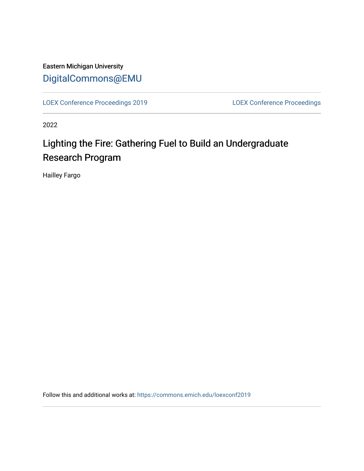Eastern Michigan University [DigitalCommons@EMU](https://commons.emich.edu/) 

[LOEX Conference Proceedings 2019](https://commons.emich.edu/loexconf2019) [LOEX Conference Proceedings](https://commons.emich.edu/loexconf) 

2022

# Lighting the Fire: Gathering Fuel to Build an Undergraduate Research Program

Hailley Fargo

Follow this and additional works at: [https://commons.emich.edu/loexconf2019](https://commons.emich.edu/loexconf2019?utm_source=commons.emich.edu%2Floexconf2019%2F4&utm_medium=PDF&utm_campaign=PDFCoverPages)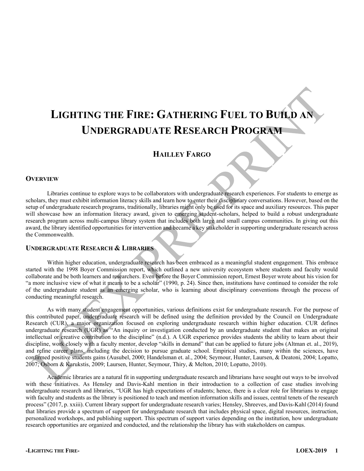# **LIGHTING THE FIRE: GATHERING FUEL TO BUILD AN UNDERGRADUATE RESEARCH PROGRAM**

### **HAILLEY FARGO**

#### **OVERVIEW**

Libraries continue to explore ways to be collaborators with undergraduate research experiences. For students to emerge as scholars, they must exhibit information literacy skills and learn how to enter their disciplinary conversations. However, based on the setup of undergraduate research programs, traditionally, libraries might only be used for its space and auxiliary resources. This paper will showcase how an information literacy award, given to emerging student-scholars, helped to build a robust undergraduate research program across multi-campus library system that includes both large and small campus communities. In giving out this award, the library identified opportunities for intervention and became a key stakeholder in supporting undergraduate research across the Commonwealth.

#### **UNDERGRADUATE RESEARCH & LIBRARIES**

Within higher education, undergraduate research has been embraced as a meaningful student engagement. This embrace started with the 1998 Boyer Commission report, which outlined a new university ecosystem where students and faculty would collaborate and be both learners and researchers. Even before the Boyer Commission report, Ernest Boyer wrote about his vision for "a more inclusive view of what it means to be a scholar"  $(1990, p. 24)$ . Since then, institutions have continued to consider the role of the undergraduate student as an emerging scholar, who is learning about disciplinary conventions through the process of conducting meaningful research.

As with many student engagement opportunities, various definitions exist for undergraduate research. For the purpose of this contributed paper, undergraduate research will be defined using the definition provided by the Council on Undergraduate Research (CUR), a major organization focused on exploring undergraduate research within higher education. CUR defines undergraduate research (UGR) as "An inquiry or investigation conducted by an undergraduate student that makes an original intellectual or creative contribution to the discipline" (n.d.). A UGR experience provides students the ability to learn about their discipline, work closely with a faculty mentor, develop "skills in demand" that can be applied to future jobs (Altman et. al., 2019), and refine career plans, including the decision to pursue graduate school. Empirical studies, many within the sciences, have confirmed positive students gains (Ausubel, 2000; Handelsman et. al., 2004; Seymour, Hunter, Laursen, & Deatoni, 2004; Lopatto, 2007; Osborn & Karukstis, 2009; Laursen, Hunter, Seymour, Thiry, & Melton, 2010; Lopatto, 2010).

Academic libraries are a natural fit in supporting undergraduate research and librarians have sought out ways to be involved with these initiatives. As Hensley and Davis-Kahl mention in their introduction to a collection of case studies involving undergraduate research and libraries, "UGR has high expectations of students; hence, there is a clear role for librarians to engage with faculty and students as the library is positioned to teach and mention information skills and issues, central tenets of the research process" (2017, p. xxiii). Current library support for undergraduate research varies; Hensley, Shreeves, and Davis-Kahl (2014) found that libraries provide a spectrum of support for undergraduate research that includes physical space, digital resources, instruction, personalized workshops, and publishing support. This spectrum of support varies depending on the institution, how undergraduate research opportunities are organized and conducted, and the relationship the library has with stakeholders on campus.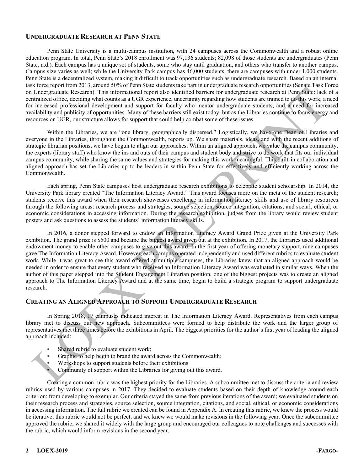#### **UNDERGRADUATE RESEARCH AT PENN STATE**

Penn State University is a multi-campus institution, with 24 campuses across the Commonwealth and a robust online education program. In total, Penn State's 2018 enrollment was 97,136 students; 82,098 of those students are undergraduates (Penn State, n.d.). Each campus has a unique set of students, some who stay until graduation, and others who transfer to another campus. Campus size varies as well; while the University Park campus has 46,000 students, there are campuses with under 1,000 students. Penn State is a decentralized system, making it difficult to track opportunities such as undergraduate research. Based on an internal task force report from 2013, around 50% of Penn State students take part in undergraduate research opportunities (Senate Task Force on Undergraduate Research). This informational report also identified barriers for undergraduate research at Penn State: lack of a centralized office, deciding what counts as a UGR experience, uncertainty regarding how students are trained to do this work, a need for increased professional development and support for faculty who mentor undergraduate students, and a need for increased availability and publicity of opportunities. Many of these barriers still exist today, but as the Libraries continue to focus energy and resources on UGR, our structure allows for support that could help combat some of these issues.

Within the Libraries, we are "one library, geographically dispersed." Logistically, we have one Dean of Libraries and everyone in the Libraries, throughout the Commonwealth, reports up. We share materials, ideas, and with the recent additions of strategic librarian positions, we have begun to align our approaches. Within an aligned approach, we value the campus community, the experts (library staff) who know the ins and outs of their campus and student body and strive to do work that fits our individual campus community, while sharing the same values and strategies for making this work meaningful. This built-in collaboration and aligned approach has set the Libraries up to be leaders in within Penn State for effectively and efficiently working across the Commonwealth.

Each spring, Penn State campuses host undergraduate research exhibitions to celebrate student scholarship. In 2014, the University Park library created "The Information Literacy Award." This award focuses more on the meta of the student research; students receive this award when their research showcases excellence in information literacy skills and use of library resources through the following areas: research process and strategies, source selection, source integration, citations, and social, ethical, or economic considerations in accessing information. During the research exhibition, judges from the library would review student posters and ask questions to assess the students' information literacy skills.

In 2016, a donor stepped forward to endow an Information Literacy Award Grand Prize given at the University Park exhibition. The grand prize is \$500 and became the biggest award given out at the exhibition. In 2017, the Libraries used additional endowment money to enable other campuses to give out this award. In the first year of offering monetary support, nine campuses gave The Information Literacy Award. However, each campus operated independently and used different rubrics to evaluate student work. While it was great to see this award offered at multiple campuses, the Libraries knew that an aligned approach would be needed in order to ensure that every student who received an Information Literacy Award was evaluated in similar ways. When the author of this paper stepped into the Student Engagement Librarian position, one of the biggest projects was to create an aligned approach to The Information Literacy Award and at the same time, begin to build a strategic program to support undergraduate research.

#### **CREATING AN ALIGNED APPROACH TO SUPPORT UNDERGRADUATE RESEARCH**

In Spring 2018, 17 campuses indicated interest in The Information Literacy Award. Representatives from each campus library met to discuss our new approach. Subcommittees were formed to help distribute the work and the larger group of representatives met three times before the exhibitions in April. The biggest priorities for the author's first year of leading the aligned approach included:

- Shared rubric to evaluate student work;
- Graphic to help begin to brand the award across the Commonwealth;
- Workshops to support students before their exhibitions
- Community of support within the Libraries for giving out this award.

Creating a common rubric was the highest priority for the Libraries. A subcommittee met to discuss the criteria and review rubrics used by various campuses in 2017. They decided to evaluate students based on their depth of knowledge around each criterion: from developing to exemplar. Our criteria stayed the same from previous iterations of the award; we evaluated students on their research process and strategies, source selection, source integration, citations, and social, ethical, or economic considerations in accessing information. The full rubric we created can be found in Appendix A. In creating this rubric, we knew the process would be iterative; this rubric would not be perfect, and we knew we would make revisions in the following year. Once the subcommittee approved the rubric, we shared it widely with the large group and encouraged our colleagues to note challenges and successes with the rubric, which would inform revisions in the second year.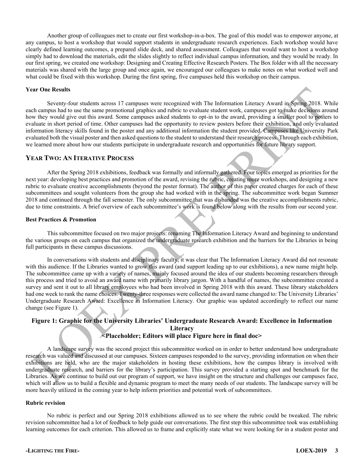Another group of colleagues met to create our first workshop-in-a-box. The goal of this model was to empower anyone, at any campus, to host a workshop that would support students in undergraduate research experiences. Each workshop would have clearly defined learning outcomes, a prepared slide deck, and shared assessment. Colleagues that would want to host a workshop simply had to download the materials, edit the slides slightly to reflect individual campus information, and they would be ready. In our first spring, we created one workshop: Designing and Creating Effective Research Posters. The Box folder with all the necessary materials was shared with the large group and once again, we encouraged our colleagues to make notes on what worked well and what could be fixed with this workshop. During the first spring, five campuses held this workshop on their campus.

#### **Year One Results**

Seventy-four students across 17 campuses were recognized with The Information Literacy Award in Spring 2018. While each campus had to use the same promotional graphics and rubric to evaluate student work, campuses got to make decisions around how they would give out this award. Some campuses asked students to opt-in to the award, providing a smaller pool to posters to evaluate in short period of time. Other campuses had the opportunity to review posters before their exhibition, and only evaluated information literacy skills found in the poster and any additional information the student provided. Campuses like University Park evaluated both the visual poster and then asked questions to the student to understand their research process. Through each exhibition, we learned more about how our students participate in undergraduate research and opportunities for future library support.

#### **YEAR TWO: AN ITERATIVE PROCESS**

After the Spring 2018 exhibitions, feedback was formally and informally gathered. Four topics emerged as priorities for the next year: developing best practices and promotion of the award, revising the rubric, creating more workshops, and designing a new rubric to evaluate creative accomplishments (beyond the poster format). The author of this paper created charges for each of these subcommittees and sought volunteers from the group she had worked with in the spring. The subcommittee work began Summer 2018 and continued through the fall semester. The only subcommittee that was disbanded was the creative accomplishments rubric, due to time constraints. A brief overview of each subcommittee's work is found below along with the results from our second year.

#### **Best Practices & Promotion**

This subcommittee focused on two major projects: renaming The Information Literacy Award and beginning to understand the various groups on each campus that organized the undergraduate research exhibition and the barriers for the Libraries in being full participants in these campus discussions.

In conversations with students and disciplinary faculty, it was clear that The Information Literacy Award did not resonate with this audience. If the Libraries wanted to grow this award (and support leading up to our exhibitions), a new name might help. The subcommittee came up with a variety of names, mainly focused around the idea of our students becoming researchers through this process and tried to avoid an award name with primarily library jargon. With a handful of names, the subcommittee created a survey and sent it out to all library employees who had been involved in Spring 2018 with this award. These library stakeholders had one week to rank the name choices. Twenty-three responses were collected the award name changed to: The University Libraries' Undergraduate Research Award: Excellence in Information Literacy. Our graphic was updated accordingly to reflect our name change (see Figure 1).

#### Figure 1: Graphic for the University Libraries' Undergraduate Research Award: Excellence in Information **Literacy <Placeholder; Editors will place Figure here in final doc>**

A landscape survey was the second project this subcommittee worked on in order to better understand how undergraduate research was valued and discussed at our campuses. Sixteen campuses responded to the survey, providing information on when their exhibitions are held, who are the major stakeholders in hosting these exhibitions, how the campus library is involved with undergraduate research, and barriers for the library's participation. This survey provided a starting spot and benchmark for the Libraries. As we continue to build out our program of support, we have insight on the structure and challenges our campuses face, which will allow us to build a flexible and dynamic program to meet the many needs of our students. The landscape survey will be more heavily utilized in the coming year to help inform priorities and potential work of subcommittees.

#### **Rubric revision**

No rubric is perfect and our Spring 2018 exhibitions allowed us to see where the rubric could be tweaked. The rubric revision subcommittee had a lot of feedback to help guide our conversations. The first step this subcommittee took was establishing learning outcomes for each criterion. This allowed us to frame and explicitly state what we were looking for in a student poster and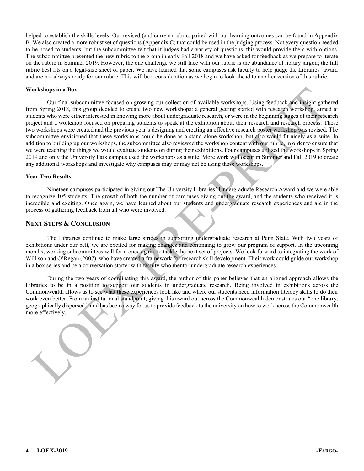helped to establish the skills levels. Our revised (and current) rubric, paired with our learning outcomes can be found in Appendix B. We also created a more robust set of questions (Appendix C) that could be used in the judging process. Not every question needed to be posed to students, but the subcommittee felt that if judges had a variety of questions, this would provide them with options. The subcommittee presented the new rubric to the group in early Fall 2018 and we have asked for feedback as we prepare to iterate on the rubric in Summer 2019. However, the one challenge we still face with our rubric is the abundance of library jargon; the full rubric best fits on a legal-size sheet of paper. We have learned that some campuses ask faculty to help judge the Libraries' award and are not always ready for our rubric. This will be a consideration as we begin to look ahead to another version of this rubric.

#### **Workshops in a Box**

Our final subcommittee focused on growing our collection of available workshops. Using feedback and insight gathered from Spring 2018, this group decided to create two new workshops: a general getting started with research workshop, aimed at students who were either interested in knowing more about undergraduate research, or were in the beginning stages of their research project and a workshop focused on preparing students to speak at the exhibition about their research and research process. These two workshops were created and the previous year's designing and creating an effective research poster workshop was revised. The subcommittee envisioned that these workshops could be done as a stand-alone workshop, but also would fit nicely as a suite. In addition to building up our workshops, the subcommittee also reviewed the workshop content with our rubric, in order to ensure that we were teaching the things we would evaluate students on during their exhibitions. Four campuses utilized the workshops in Spring 2019 and only the University Park campus used the workshops as a suite. More work will occur in Summer and Fall 2019 to create any additional workshops and investigate why campuses may or may not be using these workshops.

#### **Year Two Results**

Nineteen campuses participated in giving out The University Libraries' Undergraduate Research Award and we were able to recognize 105 students. The growth of both the number of campuses giving out the award, and the students who received it is incredible and exciting. Once again, we have learned about our students and undergraduate research experiences and are in the process of gathering feedback from all who were involved.

#### **NEXT STEPS & CONCLUSION**

The Libraries continue to make large strides in supporting undergraduate research at Penn State. With two years of exhibitions under our belt, we are excited for making changes and continuing to grow our program of support. In the upcoming months, working subcommittees will form once again, to tackle the next set of projects. We look forward to integrating the work of Willison and O'Regan (2007), who have created a framework for research skill development. Their work could guide our workshop in a box series and be a conversation starter with faculty who mentor undergraduate research experiences.

During the two years of coordinating this award, the author of this paper believes that an aligned approach allows the Libraries to be in a position to support our students in undergraduate research. Being involved in exhibitions across the Commonwealth allows us to see what these experiences look like and where our students need information literacy skills to do their work even better. From an institutional standpoint, giving this award out across the Commonwealth demonstrates our "one library, geographically dispersed," and has been a way for us to provide feedback to the university on how to work across the Commonwealth more effectively.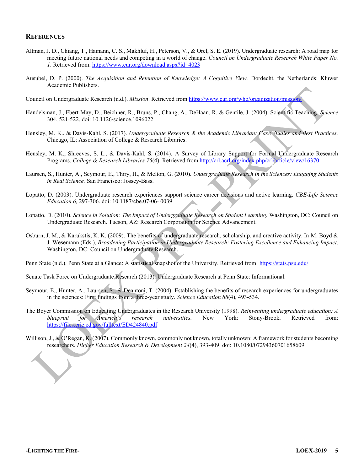#### **REFERENCES**

- Altman, J. D., Chiang, T., Hamann, C. S., Makhluf, H., Peterson, V., & Orel, S. E. (2019). Undergraduate research: A road map for meeting future national needs and competing in a world of change. *Council on Undergraduate Research White Paper No. 1*. Retrieved from:<https://www.cur.org/download.aspx?id=4023>
- Ausubel, D. P. (2000). *The Acquisition and Retention of Knowledge: A Cognitive View.* Dordecht, the Netherlands: Kluwer Academic Publishers.

Council on Undergraduate Research (n.d.). *Mission*. Retrieved fro[m https://www.cur.org/who/organization/mission/](https://www.cur.org/who/organization/mission/) 

- Handelsman, J., Ebert-May, D., Beichner, R., Bruns, P., Chang, A., DeHaan, R. & Gentile, J. (2004). Scientific Teaching. *Science* 304, 521-522. doi: 10.1126/science.1096022
- Hensley, M. K., & Davis-Kahl, S. (2017). *Undergraduate Research & the Academic Librarian: Case Studies and Best Practices.*  Chicago, IL: Association of College & Research Libraries.
- Hensley, M. K., Shreeves, S. L., & Davis-Kahl, S. (2014). A Survey of Library Support for Formal Undergraduate Research Programs. *College & Research Libraries 75*(4). Retrieved from<http://crl.acrl.org/index.php/crl/article/view/16370>
- Laursen, S., Hunter, A., Seymour, E., Thiry, H., & Melton, G. (2010). *Undergraduate Research in the Sciences: Engaging Students in Real Science.* San Francisco: Jossey-Bass.
- Lopatto, D. (2003). Undergraduate research experiences support science career decisions and active learning. *CBE-Life Science Education 6,* 297-306. doi: 10.1187/cbe.07-06- 0039
- Lopatto, D. (2010). *Science in Solution: The Impact of Undergraduate Research on Student Learning.* Washington, DC: Council on Undergraduate Research. Tucson, AZ: Research Corporation for Science Advancement.
- Osburn, J. M., & Karukstis, K. K. (2009). The benefits of undergraduate research, scholarship, and creative activity. In M. Boyd & J. Wesemann (Eds.), *Broadening Participation in Undergraduate Research: Fostering Excellence and Enhancing Impact*. Washington, DC: Council on Undergraduate Research.
- Penn State (n.d.). Penn State at a Glance: A statistical snapshot of the University. Retrieved from:<https://stats.psu.edu/>
- Senate Task Force on Undergraduate Research (2013). Undergraduate Research at Penn State: Informational.
- Seymour, E., Hunter, A., Laursen, S., & Deantoni, T. (2004). Establishing the benefits of research experiences for undergraduates in the sciences: First findings from a three-year study. *Science Education 88*(4), 493-534.
- The Boyer Commission on Educating Undergraduates in the Research University (1998). *Reinventing undergraduate education: A EOXHSULQW IRU \$PHULFD¶V UHVHDUFK XQLYHUVLWLHV* New York: Stony-Brook. Retrieved from: <https://files.eric.ed.gov/fulltext/ED424840.pdf>
- Willison, J., & O'Regan, K. (2007). Commonly known, commonly not known, totally unknown: A framework for students becoming researchers. *Higher Education Research & Development 24*(4), 393-409. doi: 10.1080/07294360701658609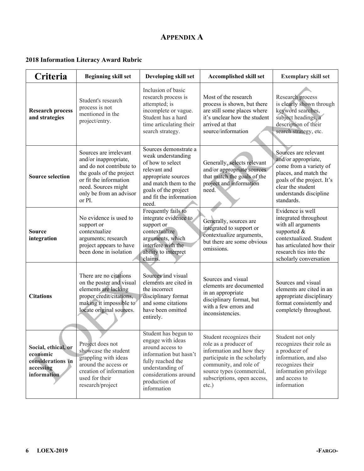### **APPENDIX A**

### **2018 Information Literacy Award Rubric**

| Criteria                                                                         | <b>Beginning skill set</b>                                                                                                                                                                    | Developing skill set                                                                                                                                                                        | <b>Accomplished skill set</b>                                                                                                                                                                                   | <b>Exemplary skill set</b>                                                                                                                                                                 |
|----------------------------------------------------------------------------------|-----------------------------------------------------------------------------------------------------------------------------------------------------------------------------------------------|---------------------------------------------------------------------------------------------------------------------------------------------------------------------------------------------|-----------------------------------------------------------------------------------------------------------------------------------------------------------------------------------------------------------------|--------------------------------------------------------------------------------------------------------------------------------------------------------------------------------------------|
| <b>Research process</b><br>and strategies                                        | Student's research<br>process is not<br>mentioned in the<br>project/entry.                                                                                                                    | Inclusion of basic<br>research process is<br>attempted; is<br>incomplete or vague.<br>Student has a hard<br>time articulating their<br>search strategy.                                     | Most of the research<br>process is shown, but there<br>are still some places where<br>it's unclear how the student<br>arrived at that<br>source/information                                                     | Research process<br>is clearly shown through<br>keyword searches,<br>subject headings, a<br>description of their<br>search strategy, etc.                                                  |
| <b>Source selection</b>                                                          | Sources are irrelevant<br>and/or inappropriate,<br>and do not contribute to<br>the goals of the project<br>or fit the information<br>need. Sources might<br>only be from an advisor<br>or PI. | Sources demonstrate a<br>weak understanding<br>of how to select<br>relevant and<br>appropriate sources<br>and match them to the<br>goals of the project<br>and fit the information<br>need. | Generally, selects relevant<br>and/or appropriate sources<br>that match the goals of the<br>project and information<br>need.                                                                                    | Sources are relevant<br>and/or appropriate,<br>come from a variety of<br>places, and match the<br>goals of the project. It's<br>clear the student<br>understands discipline<br>standards.  |
| <b>Source</b><br>integration                                                     | No evidence is used to<br>support or<br>contextualize<br>arguments; research<br>project appears to have<br>been done in isolation                                                             | Frequently fails to<br>integrate evidence to<br>support or<br>contextualize<br>arguments, which<br>interfere with the<br>ability to interpret<br>claims.                                    | Generally, sources are<br>integrated to support or<br>contextualize arguments,<br>but there are some obvious<br>omissions.                                                                                      | Evidence is well<br>integrated throughout<br>with all arguments<br>supported &<br>contextualized. Student<br>has articulated how their<br>research ties into the<br>scholarly conversation |
| <b>Citations</b>                                                                 | There are no citations<br>on the poster and visual<br>elements are lacking<br>proper credit/citations,<br>making it impossible to<br>locate original sources.                                 | Sources and visual<br>elements are cited in<br>the incorrect<br>disciplinary format<br>and some citations<br>have been omitted<br>entirely.                                                 | Sources and visual<br>elements are documented<br>in an appropriate<br>disciplinary format, but<br>with a few errors and<br>inconsistencies.                                                                     | Sources and visual<br>elements are cited in an<br>appropriate disciplinary<br>format consistently and<br>completely throughout.                                                            |
| Social, ethical, or<br>economic<br>considerations in<br>accessing<br>information | Project does not<br>showcase the student<br>grappling with ideas<br>around the access or<br>creation of information<br>used for their<br>research/project                                     | Student has begun to<br>engage with ideas<br>around access to<br>information but hasn't<br>fully reached the<br>understanding of<br>considerations around<br>production of<br>information   | Student recognizes their<br>role as a producer of<br>information and how they<br>participate in the scholarly<br>community, and role of<br>source types (commercial,<br>subscriptions, open access,<br>$etc.$ ) | Student not only<br>recognizes their role as<br>a producer of<br>information, and also<br>recognizes their<br>information privilege<br>and access to<br>information                        |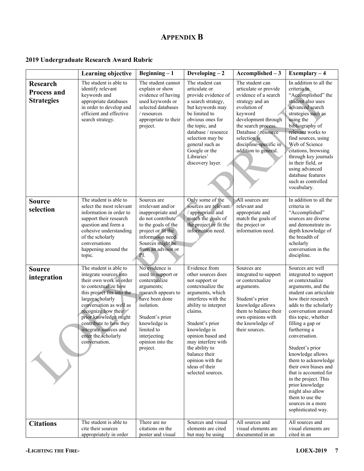### **APPENDIX B**

### **2019 Undergraduate Research Award Rubric**

|                                                            | <b>Learning objective</b>                                                                                                                                                                                                                                                                                                   | $Beginning - 1$                                                                                                                                                                                                             | Developing $-2$                                                                                                                                                                                                                                                                                                                      | $Accomplished - 3$                                                                                                                                                                                                                                    | Exemplary $-\overline{4}$                                                                                                                                                                                                                                                                                                                                                                                                                                                                                   |
|------------------------------------------------------------|-----------------------------------------------------------------------------------------------------------------------------------------------------------------------------------------------------------------------------------------------------------------------------------------------------------------------------|-----------------------------------------------------------------------------------------------------------------------------------------------------------------------------------------------------------------------------|--------------------------------------------------------------------------------------------------------------------------------------------------------------------------------------------------------------------------------------------------------------------------------------------------------------------------------------|-------------------------------------------------------------------------------------------------------------------------------------------------------------------------------------------------------------------------------------------------------|-------------------------------------------------------------------------------------------------------------------------------------------------------------------------------------------------------------------------------------------------------------------------------------------------------------------------------------------------------------------------------------------------------------------------------------------------------------------------------------------------------------|
| <b>Research</b><br><b>Process and</b><br><b>Strategies</b> | The student is able to<br>identify relevant<br>keywords and<br>appropriate databases<br>in order to develop and<br>efficient and effective<br>search strategy.                                                                                                                                                              | The student cannot<br>explain or show<br>evidence of having<br>used keywords or<br>selected databases<br>/ resources<br>appropriate to their<br>project.                                                                    | The student can<br>articulate or<br>provide evidence of<br>a search strategy,<br>but keywords may<br>be limited to<br>obvious ones for<br>the topic, and<br>database / resource<br>selection may be<br>general such as<br>Google or the<br>Libraries'<br>discovery layer.                                                            | The student can<br>articulate or provide<br>evidence of a search<br>strategy and an<br>evolution of<br>keyword<br>development through<br>the search process.<br>Database / resource<br>selection is<br>discipline-specific in<br>addition to general. | In addition to all the<br>criteria in<br>"Accomplished" the<br>student also uses<br>advanced search<br>strategies such as<br>using the<br>bibliography of<br>relevant works to<br>find sources, using<br>Web of Science<br>citations, browsing<br>through key journals<br>in their field, or<br>using advanced<br>database features<br>such as controlled<br>vocabulary.                                                                                                                                    |
| <b>Source</b><br>selection                                 | The student is able to<br>select the most relevant<br>information in order to<br>support their research<br>question and form a<br>cohesive understanding<br>of the scholarly<br>conversations<br>happening around the<br>topic.                                                                                             | Sources are<br>irrelevant and/or<br>inappropriate and<br>do not contribute<br>to the goals of the<br>project or fit the<br>information need.<br>Sources might be<br>from an advisor or<br>PI.                               | Only some of the<br>sources are relevant.<br>/ appropriate and<br>match the goals of<br>the project or fit the<br>information need.                                                                                                                                                                                                  | All sources are<br>relevant and<br>appropriate and<br>match the goals of<br>the project or<br>information need.                                                                                                                                       | In addition to all the<br>criteria in<br>"Accomplished"<br>sources are diverse<br>and demonstrate in-<br>depth knowledge of<br>the breadth of<br>scholarly<br>conversation in the<br>discipline.                                                                                                                                                                                                                                                                                                            |
| <b>Source</b><br>integration                               | The student is able to<br>integrate sources into<br>their own work in order<br>to contextualize how<br>this project fits into the<br>larger scholarly<br>conversation as well as<br>recognize how their<br>prior knowledge might<br>contribute to how they<br>integrate sources and<br>enter the scholarly<br>conversation. | No evidence is<br>used to support or<br>contextualize<br>arguments;<br>research appears to<br>have been done<br>isolation.<br>Student's prior<br>knowledge is<br>limited to<br>interjecting<br>opinion into the<br>project. | Evidence from<br>other sources does<br>not support or<br>contextualize the<br>arguments, which<br>interferes with the<br>ability to interpret<br>claims.<br>Student's prior<br>knowledge is<br>opinion based and<br>may interfere with<br>the ability to<br>balance their<br>opinion with the<br>ideas of their<br>selected sources. | Sources are<br>integrated to support<br>or contextualize<br>arguments.<br>Student's prior<br>knowledge allows<br>them to balance their<br>own opinions with<br>the knowledge of<br>their sources.                                                     | Sources are well<br>integrated to support<br>or contextualize<br>arguments, and the<br>student can articulate<br>how their research<br>adds to the scholarly<br>conversation around<br>this topic, whether<br>filling a gap or<br>furthering a<br>conversation.<br>Student's prior<br>knowledge allows<br>them to acknowledge<br>their own biases and<br>that is accounted for<br>in the project. This<br>prior knowledge<br>might also allow<br>them to use the<br>sources in a more<br>sophisticated way. |
| <b>Citations</b>                                           | The student is able to<br>cite their sources<br>appropriately in order                                                                                                                                                                                                                                                      | There are no<br>citations on the<br>poster and visual                                                                                                                                                                       | Sources and visual<br>elements are cited<br>but may be using                                                                                                                                                                                                                                                                         | All sources and<br>visual elements are<br>documented in an                                                                                                                                                                                            | All sources and<br>visual elements are<br>cited in an                                                                                                                                                                                                                                                                                                                                                                                                                                                       |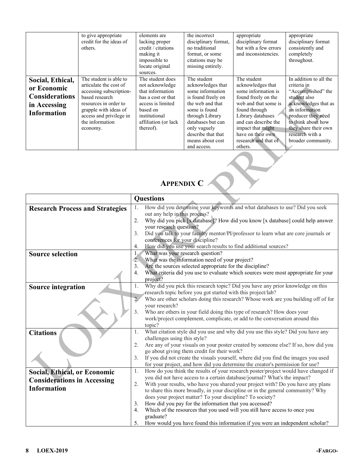|                                                                                                | to give appropriate<br>credit for the ideas of<br>others.                                                                                                                                                 | elements are<br>lacking proper<br>credit / citations<br>making it<br>impossible to<br>locate original<br>sources.                                                     | the incorrect<br>disciplinary format,<br>no traditional<br>format, or some<br>citations may be<br>missing entirely.                                                                                                              | appropriate<br>disciplinary format<br>but with a few errors<br>and inconsistencies.                                                                                                                                                               | appropriate<br>disciplinary format<br>consistently and<br>completely<br>throughout.                                                                                                                                                |
|------------------------------------------------------------------------------------------------|-----------------------------------------------------------------------------------------------------------------------------------------------------------------------------------------------------------|-----------------------------------------------------------------------------------------------------------------------------------------------------------------------|----------------------------------------------------------------------------------------------------------------------------------------------------------------------------------------------------------------------------------|---------------------------------------------------------------------------------------------------------------------------------------------------------------------------------------------------------------------------------------------------|------------------------------------------------------------------------------------------------------------------------------------------------------------------------------------------------------------------------------------|
| Social, Ethical,<br>or Economic<br><b>Considerations</b><br>in Accessing<br><b>Information</b> | The student is able to<br>articulate the cost of<br>accessing subscription-<br>based research<br>resources in order to<br>grapple with ideas of<br>access and privilege in<br>the information<br>economy. | The student does<br>not acknowledge<br>that information<br>has a cost or that<br>access is limited<br>based on<br>institutional<br>affiliation (or lack)<br>thereof). | The student<br>acknowledges that<br>some information<br>is found freely on<br>the web and that<br>some is found<br>through Library<br>databases but can<br>only vaguely<br>describe that that<br>means about cost<br>and access. | The student<br>acknowledges that<br>some information is<br>found freely on the<br>web and that some is<br>found through<br>Library databases<br>and can describe the<br>impact that might<br>have on their own<br>research and that of<br>others. | In addition to all the<br>criteria in<br>"Accomplished" the<br>student also<br>acknowledges that as<br>an information<br>producer they need<br>to think about how<br>they share their own<br>research with a<br>broader community. |

## **APPENDIX C**

|                                                                                                 | <b>Questions</b>                                                                                                                                                                                                                                                                                                                                                                                                                                                                                                                                                                                                                                                        |
|-------------------------------------------------------------------------------------------------|-------------------------------------------------------------------------------------------------------------------------------------------------------------------------------------------------------------------------------------------------------------------------------------------------------------------------------------------------------------------------------------------------------------------------------------------------------------------------------------------------------------------------------------------------------------------------------------------------------------------------------------------------------------------------|
| <b>Research Process and Strategies</b>                                                          | How did you determine your keywords and what databases to use? Did you seek<br>1.<br>out any help in this process?<br>Why did you pick [x database]? How did you know [x database] could help answer<br>2.<br>your research question?                                                                                                                                                                                                                                                                                                                                                                                                                                   |
|                                                                                                 | Did you talk to your faculty mentor/PI/professor to learn what are core journals or<br>3.<br>conferences for your discipline?<br>How did you use your search results to find additional sources?<br>4.                                                                                                                                                                                                                                                                                                                                                                                                                                                                  |
| <b>Source selection</b>                                                                         | What was your research question?<br>$\mathbf{1}$<br>What was the information need of your project?<br>$\hat{c}$<br>Are the sources selected appropriate for the discipline?<br>3.<br>What criteria did you use to evaluate which sources were most appropriate for your<br>4.<br>project?                                                                                                                                                                                                                                                                                                                                                                               |
| <b>Source integration</b>                                                                       | Why did you pick this research topic? Did you have any prior knowledge on this<br>1.<br>research topic before you got started with this project/lab?<br>$\overline{2}$ .<br>Who are other scholars doing this research? Whose work are you building off of for<br>your research?<br>Who are others in your field doing this type of research? How does your<br>3 <sub>1</sub><br>work/project complement, complicate, or add to the conversation around this<br>topic?                                                                                                                                                                                                  |
| <b>Citations</b>                                                                                | What citation style did you use and why did you use this style? Did you have any<br>1.<br>challenges using this style?<br>Are any of your visuals on your poster created by someone else? If so, how did you<br>2.<br>go about giving them credit for their work?<br>If you did not create the visuals yourself, where did you find the images you used<br>3.<br>for your project, and how did you determine the creator's permission for use?                                                                                                                                                                                                                          |
| <b>Social, Ethical, or Economic</b><br><b>Considerations in Accessing</b><br><b>Information</b> | How do you think the results of your research poster/project would have changed if<br>1.<br>you did not have access to a certain database/journal? What's the impact?<br>2.<br>With your results, who have you shared your project with? Do you have any plans<br>to share this more broadly, in your discipline or in the general community? Why<br>does your project matter? To your discipline? To society?<br>How did you pay for the information that you accessed?<br>3.<br>Which of the resources that you used will you still have access to once you<br>4.<br>graduate?<br>How would you have found this information if you were an independent scholar?<br>5. |